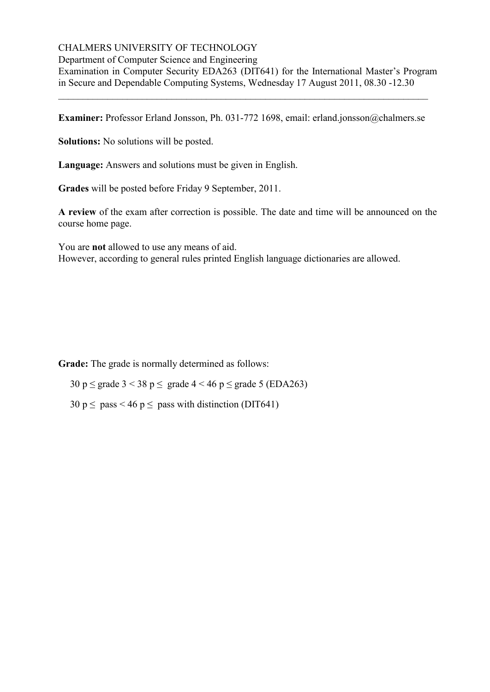# CHALMERS UNIVERSITY OF TECHNOLOGY

Department of Computer Science and Engineering

Examination in Computer Security EDA263 (DIT641) for the International Master's Program in Secure and Dependable Computing Systems, Wednesday 17 August 2011, 08.30 -12.30

**Examiner:** Professor Erland Jonsson, Ph. 031-772 1698, email: erland.jonsson@chalmers.se

\_\_\_\_\_\_\_\_\_\_\_\_\_\_\_\_\_\_\_\_\_\_\_\_\_\_\_\_\_\_\_\_\_\_\_\_\_\_\_\_\_\_\_\_\_\_\_\_\_\_\_\_\_\_\_\_\_\_\_\_\_\_\_\_\_\_\_\_\_\_\_\_\_\_\_

**Solutions:** No solutions will be posted.

**Language:** Answers and solutions must be given in English.

**Grades** will be posted before Friday 9 September, 2011.

**A review** of the exam after correction is possible. The date and time will be announced on the course home page.

You are **not** allowed to use any means of aid. However, according to general rules printed English language dictionaries are allowed.

**Grade:** The grade is normally determined as follows:

30 p  $\leq$  grade 3 < 38 p  $\leq$  grade 4 < 46 p  $\leq$  grade 5 (EDA263)

 $30 \text{ p} \le \text{pass} < 46 \text{ p} \le \text{pass with distinction (DIT641)}$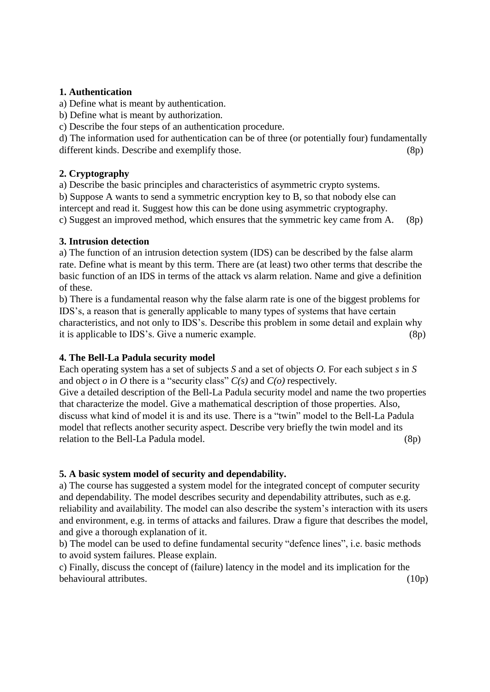# **1. Authentication**

a) Define what is meant by authentication.

b) Define what is meant by authorization.

c) Describe the four steps of an authentication procedure.

d) The information used for authentication can be of three (or potentially four) fundamentally different kinds. Describe and exemplify those. (8p)

## **2. Cryptography**

a) Describe the basic principles and characteristics of asymmetric crypto systems.

b) Suppose A wants to send a symmetric encryption key to B, so that nobody else can intercept and read it. Suggest how this can be done using asymmetric cryptography.

c) Suggest an improved method, which ensures that the symmetric key came from A. (8p)

## **3. Intrusion detection**

a) The function of an intrusion detection system (IDS) can be described by the false alarm rate. Define what is meant by this term. There are (at least) two other terms that describe the basic function of an IDS in terms of the attack vs alarm relation. Name and give a definition of these.

b) There is a fundamental reason why the false alarm rate is one of the biggest problems for IDS's, a reason that is generally applicable to many types of systems that have certain characteristics, and not only to IDS's. Describe this problem in some detail and explain why it is applicable to IDS's. Give a numeric example. (8p)

# **4. The Bell-La Padula security model**

Each operating system has a set of subjects *S* and a set of objects *O.* For each subject *s* in *S*  and object  $o$  in  $O$  there is a "security class"  $C(s)$  and  $C(o)$  respectively.

Give a detailed description of the Bell-La Padula security model and name the two properties that characterize the model. Give a mathematical description of those properties. Also, discuss what kind of model it is and its use. There is a "twin" model to the Bell-La Padula model that reflects another security aspect. Describe very briefly the twin model and its relation to the Bell-La Padula model. (8p)

# **5. A basic system model of security and dependability.**

a) The course has suggested a system model for the integrated concept of computer security and dependability. The model describes security and dependability attributes, such as e.g. reliability and availability. The model can also describe the system's interaction with its users and environment, e.g. in terms of attacks and failures. Draw a figure that describes the model, and give a thorough explanation of it.

b) The model can be used to define fundamental security "defence lines", i.e. basic methods to avoid system failures. Please explain.

c) Finally, discuss the concept of (failure) latency in the model and its implication for the behavioural attributes. (10p)